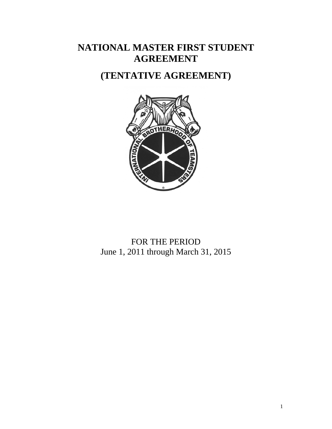# **NATIONAL MASTER FIRST STUDENT AGREEMENT**

# **(TENTATIVE AGREEMENT)**



FOR THE PERIOD June 1, 2011 through March 31, 2015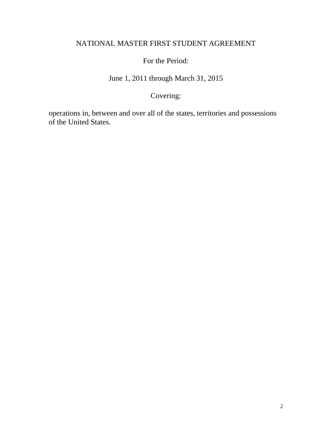#### NATIONAL MASTER FIRST STUDENT AGREEMENT

For the Period:

June 1, 2011 through March 31, 2015

## Covering:

operations in, between and over all of the states, territories and possessions of the United States.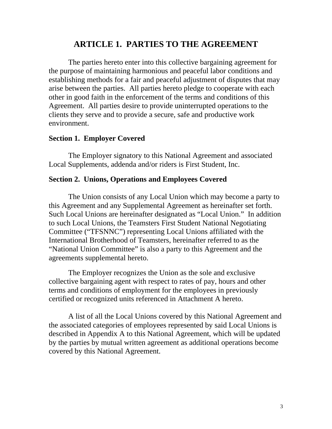### **ARTICLE 1. PARTIES TO THE AGREEMENT**

 The parties hereto enter into this collective bargaining agreement for the purpose of maintaining harmonious and peaceful labor conditions and establishing methods for a fair and peaceful adjustment of disputes that may arise between the parties. All parties hereto pledge to cooperate with each other in good faith in the enforcement of the terms and conditions of this Agreement. All parties desire to provide uninterrupted operations to the clients they serve and to provide a secure, safe and productive work environment.

#### **Section 1. Employer Covered**

 The Employer signatory to this National Agreement and associated Local Supplements, addenda and/or riders is First Student, Inc.

#### **Section 2. Unions, Operations and Employees Covered**

 The Union consists of any Local Union which may become a party to this Agreement and any Supplemental Agreement as hereinafter set forth. Such Local Unions are hereinafter designated as "Local Union." In addition to such Local Unions, the Teamsters First Student National Negotiating Committee ("TFSNNC") representing Local Unions affiliated with the International Brotherhood of Teamsters, hereinafter referred to as the "National Union Committee" is also a party to this Agreement and the agreements supplemental hereto.

 The Employer recognizes the Union as the sole and exclusive collective bargaining agent with respect to rates of pay, hours and other terms and conditions of employment for the employees in previously certified or recognized units referenced in Attachment A hereto.

 A list of all the Local Unions covered by this National Agreement and the associated categories of employees represented by said Local Unions is described in Appendix A to this National Agreement, which will be updated by the parties by mutual written agreement as additional operations become covered by this National Agreement.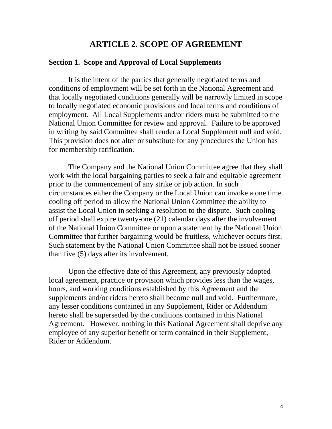#### **ARTICLE 2. SCOPE OF AGREEMENT**

#### **Section 1. Scope and Approval of Local Supplements**

 It is the intent of the parties that generally negotiated terms and conditions of employment will be set forth in the National Agreement and that locally negotiated conditions generally will be narrowly limited in scope to locally negotiated economic provisions and local terms and conditions of employment. All Local Supplements and/or riders must be submitted to the National Union Committee for review and approval. Failure to be approved in writing by said Committee shall render a Local Supplement null and void. This provision does not alter or substitute for any procedures the Union has for membership ratification.

 The Company and the National Union Committee agree that they shall work with the local bargaining parties to seek a fair and equitable agreement prior to the commencement of any strike or job action. In such circumstances either the Company or the Local Union can invoke a one time cooling off period to allow the National Union Committee the ability to assist the Local Union in seeking a resolution to the dispute. Such cooling off period shall expire twenty-one (21) calendar days after the involvement of the National Union Committee or upon a statement by the National Union Committee that further bargaining would be fruitless, whichever occurs first. Such statement by the National Union Committee shall not be issued sooner than five (5) days after its involvement.

 Upon the effective date of this Agreement, any previously adopted local agreement, practice or provision which provides less than the wages, hours, and working conditions established by this Agreement and the supplements and/or riders hereto shall become null and void. Furthermore, any lesser conditions contained in any Supplement, Rider or Addendum hereto shall be superseded by the conditions contained in this National Agreement. However, nothing in this National Agreement shall deprive any employee of any superior benefit or term contained in their Supplement, Rider or Addendum.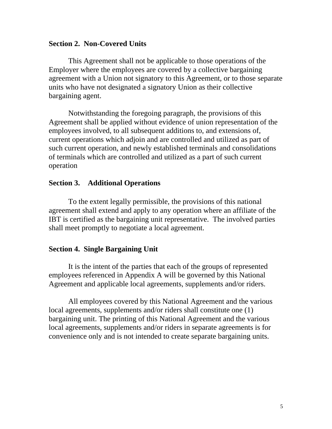#### **Section 2. Non-Covered Units**

 This Agreement shall not be applicable to those operations of the Employer where the employees are covered by a collective bargaining agreement with a Union not signatory to this Agreement, or to those separate units who have not designated a signatory Union as their collective bargaining agent.

 Notwithstanding the foregoing paragraph, the provisions of this Agreement shall be applied without evidence of union representation of the employees involved, to all subsequent additions to, and extensions of, current operations which adjoin and are controlled and utilized as part of such current operation, and newly established terminals and consolidations of terminals which are controlled and utilized as a part of such current operation

#### **Section 3. Additional Operations**

 To the extent legally permissible, the provisions of this national agreement shall extend and apply to any operation where an affiliate of the IBT is certified as the bargaining unit representative. The involved parties shall meet promptly to negotiate a local agreement.

#### **Section 4. Single Bargaining Unit**

 It is the intent of the parties that each of the groups of represented employees referenced in Appendix A will be governed by this National Agreement and applicable local agreements, supplements and/or riders.

 All employees covered by this National Agreement and the various local agreements, supplements and/or riders shall constitute one (1) bargaining unit. The printing of this National Agreement and the various local agreements, supplements and/or riders in separate agreements is for convenience only and is not intended to create separate bargaining units.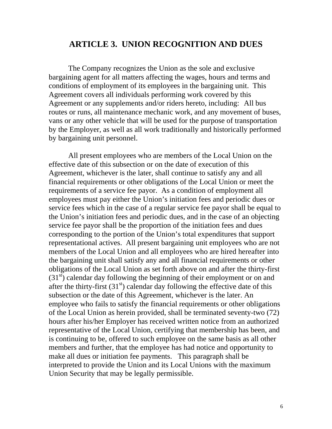#### **ARTICLE 3. UNION RECOGNITION AND DUES**

 The Company recognizes the Union as the sole and exclusive bargaining agent for all matters affecting the wages, hours and terms and conditions of employment of its employees in the bargaining unit. This Agreement covers all individuals performing work covered by this Agreement or any supplements and/or riders hereto, including: All bus routes or runs, all maintenance mechanic work, and any movement of buses, vans or any other vehicle that will be used for the purpose of transportation by the Employer, as well as all work traditionally and historically performed by bargaining unit personnel.

 All present employees who are members of the Local Union on the effective date of this subsection or on the date of execution of this Agreement, whichever is the later, shall continue to satisfy any and all financial requirements or other obligations of the Local Union or meet the requirements of a service fee payor. As a condition of employment all employees must pay either the Union's initiation fees and periodic dues or service fees which in the case of a regular service fee payor shall be equal to the Union's initiation fees and periodic dues, and in the case of an objecting service fee payor shall be the proportion of the initiation fees and dues corresponding to the portion of the Union's total expenditures that support representational actives. All present bargaining unit employees who are not members of the Local Union and all employees who are hired hereafter into the bargaining unit shall satisfy any and all financial requirements or other obligations of the Local Union as set forth above on and after the thirty-first  $(31<sup>st</sup>)$  calendar day following the beginning of their employment or on and after the thirty-first  $(31<sup>st</sup>)$  calendar day following the effective date of this subsection or the date of this Agreement, whichever is the later. An employee who fails to satisfy the financial requirements or other obligations of the Local Union as herein provided, shall be terminated seventy-two (72) hours after his/her Employer has received written notice from an authorized representative of the Local Union, certifying that membership has been, and is continuing to be, offered to such employee on the same basis as all other members and further, that the employee has had notice and opportunity to make all dues or initiation fee payments. This paragraph shall be interpreted to provide the Union and its Local Unions with the maximum Union Security that may be legally permissible.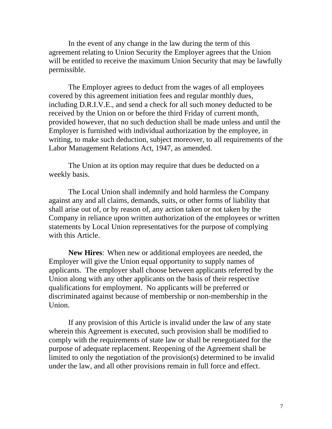In the event of any change in the law during the term of this agreement relating to Union Security the Employer agrees that the Union will be entitled to receive the maximum Union Security that may be lawfully permissible.

 The Employer agrees to deduct from the wages of all employees covered by this agreement initiation fees and regular monthly dues, including D.R.I.V.E., and send a check for all such money deducted to be received by the Union on or before the third Friday of current month, provided however, that no such deduction shall be made unless and until the Employer is furnished with individual authorization by the employee, in writing, to make such deduction, subject moreover, to all requirements of the Labor Management Relations Act, 1947, as amended.

 The Union at its option may require that dues be deducted on a weekly basis.

 The Local Union shall indemnify and hold harmless the Company against any and all claims, demands, suits, or other forms of liability that shall arise out of, or by reason of, any action taken or not taken by the Company in reliance upon written authorization of the employees or written statements by Local Union representatives for the purpose of complying with this Article.

**New Hires**: When new or additional employees are needed, the Employer will give the Union equal opportunity to supply names of applicants. The employer shall choose between applicants referred by the Union along with any other applicants on the basis of their respective qualifications for employment. No applicants will be preferred or discriminated against because of membership or non-membership in the Union.

 If any provision of this Article is invalid under the law of any state wherein this Agreement is executed, such provision shall be modified to comply with the requirements of state law or shall be renegotiated for the purpose of adequate replacement. Reopening of the Agreement shall be limited to only the negotiation of the provision(s) determined to be invalid under the law, and all other provisions remain in full force and effect.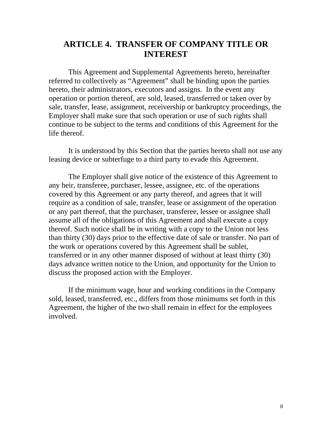#### **ARTICLE 4. TRANSFER OF COMPANY TITLE OR INTEREST**

 This Agreement and Supplemental Agreements hereto, hereinafter referred to collectively as "Agreement" shall be binding upon the parties hereto, their administrators, executors and assigns. In the event any operation or portion thereof, are sold, leased, transferred or taken over by sale, transfer, lease, assignment, receivership or bankruptcy proceedings, the Employer shall make sure that such operation or use of such rights shall continue to be subject to the terms and conditions of this Agreement for the life thereof.

 It is understood by this Section that the parties hereto shall not use any leasing device or subterfuge to a third party to evade this Agreement.

 The Employer shall give notice of the existence of this Agreement to any heir, transferee, purchaser, lessee, assignee, etc. of the operations covered by this Agreement or any party thereof, and agrees that it will require as a condition of sale, transfer, lease or assignment of the operation or any part thereof, that the purchaser, transferee, lessee or assignee shall assume all of the obligations of this Agreement and shall execute a copy thereof. Such notice shall be in writing with a copy to the Union not less than thirty (30) days prior to the effective date of sale or transfer. No part of the work or operations covered by this Agreement shall be sublet, transferred or in any other manner disposed of without at least thirty (30) days advance written notice to the Union, and opportunity for the Union to discuss the proposed action with the Employer.

 If the minimum wage, hour and working conditions in the Company sold, leased, transferred, etc., differs from those minimums set forth in this Agreement, the higher of the two shall remain in effect for the employees involved.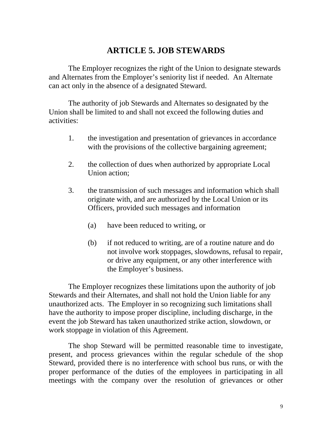### **ARTICLE 5. JOB STEWARDS**

 The Employer recognizes the right of the Union to designate stewards and Alternates from the Employer's seniority list if needed. An Alternate can act only in the absence of a designated Steward.

 The authority of job Stewards and Alternates so designated by the Union shall be limited to and shall not exceed the following duties and activities:

- 1. the investigation and presentation of grievances in accordance with the provisions of the collective bargaining agreement;
- 2. the collection of dues when authorized by appropriate Local Union action;
- 3. the transmission of such messages and information which shall originate with, and are authorized by the Local Union or its Officers, provided such messages and information
	- (a) have been reduced to writing, or
	- (b) if not reduced to writing, are of a routine nature and do not involve work stoppages, slowdowns, refusal to repair, or drive any equipment, or any other interference with the Employer's business.

 The Employer recognizes these limitations upon the authority of job Stewards and their Alternates, and shall not hold the Union liable for any unauthorized acts. The Employer in so recognizing such limitations shall have the authority to impose proper discipline, including discharge, in the event the job Steward has taken unauthorized strike action, slowdown, or work stoppage in violation of this Agreement.

 The shop Steward will be permitted reasonable time to investigate, present, and process grievances within the regular schedule of the shop Steward, provided there is no interference with school bus runs, or with the proper performance of the duties of the employees in participating in all meetings with the company over the resolution of grievances or other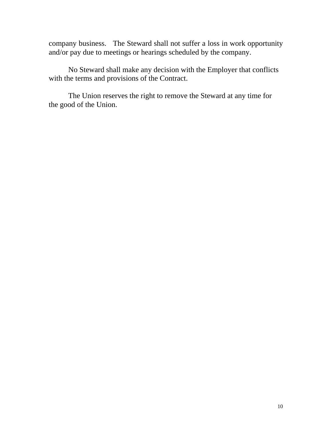company business. The Steward shall not suffer a loss in work opportunity and/or pay due to meetings or hearings scheduled by the company.

 No Steward shall make any decision with the Employer that conflicts with the terms and provisions of the Contract.

 The Union reserves the right to remove the Steward at any time for the good of the Union.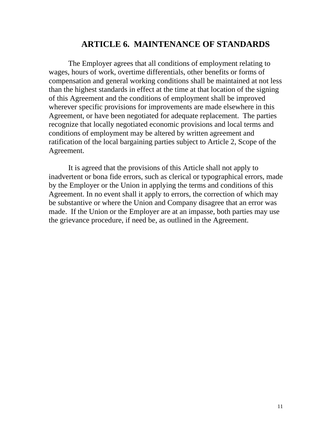#### **ARTICLE 6. MAINTENANCE OF STANDARDS**

The Employer agrees that all conditions of employment relating to wages, hours of work, overtime differentials, other benefits or forms of compensation and general working conditions shall be maintained at not less than the highest standards in effect at the time at that location of the signing of this Agreement and the conditions of employment shall be improved wherever specific provisions for improvements are made elsewhere in this Agreement, or have been negotiated for adequate replacement. The parties recognize that locally negotiated economic provisions and local terms and conditions of employment may be altered by written agreement and ratification of the local bargaining parties subject to Article 2, Scope of the Agreement.

 It is agreed that the provisions of this Article shall not apply to inadvertent or bona fide errors, such as clerical or typographical errors, made by the Employer or the Union in applying the terms and conditions of this Agreement. In no event shall it apply to errors, the correction of which may be substantive or where the Union and Company disagree that an error was made. If the Union or the Employer are at an impasse, both parties may use the grievance procedure, if need be, as outlined in the Agreement.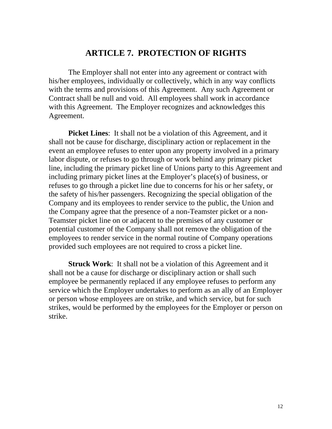### **ARTICLE 7. PROTECTION OF RIGHTS**

 The Employer shall not enter into any agreement or contract with his/her employees, individually or collectively, which in any way conflicts with the terms and provisions of this Agreement. Any such Agreement or Contract shall be null and void. All employees shall work in accordance with this Agreement. The Employer recognizes and acknowledges this Agreement.

**Picket Lines:** It shall not be a violation of this Agreement, and it shall not be cause for discharge, disciplinary action or replacement in the event an employee refuses to enter upon any property involved in a primary labor dispute, or refuses to go through or work behind any primary picket line, including the primary picket line of Unions party to this Agreement and including primary picket lines at the Employer's place(s) of business, or refuses to go through a picket line due to concerns for his or her safety, or the safety of his/her passengers. Recognizing the special obligation of the Company and its employees to render service to the public, the Union and the Company agree that the presence of a non-Teamster picket or a non-Teamster picket line on or adjacent to the premises of any customer or potential customer of the Company shall not remove the obligation of the employees to render service in the normal routine of Company operations provided such employees are not required to cross a picket line.

**Struck Work**: It shall not be a violation of this Agreement and it shall not be a cause for discharge or disciplinary action or shall such employee be permanently replaced if any employee refuses to perform any service which the Employer undertakes to perform as an ally of an Employer or person whose employees are on strike, and which service, but for such strikes, would be performed by the employees for the Employer or person on strike.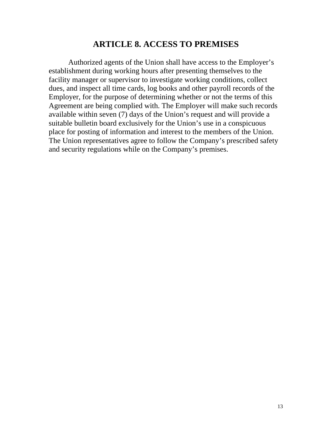#### **ARTICLE 8. ACCESS TO PREMISES**

 Authorized agents of the Union shall have access to the Employer's establishment during working hours after presenting themselves to the facility manager or supervisor to investigate working conditions, collect dues, and inspect all time cards, log books and other payroll records of the Employer, for the purpose of determining whether or not the terms of this Agreement are being complied with. The Employer will make such records available within seven (7) days of the Union's request and will provide a suitable bulletin board exclusively for the Union's use in a conspicuous place for posting of information and interest to the members of the Union. The Union representatives agree to follow the Company's prescribed safety and security regulations while on the Company's premises.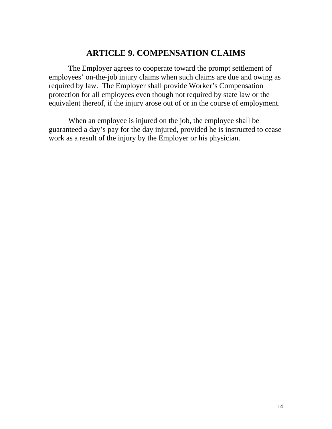## **ARTICLE 9. COMPENSATION CLAIMS**

 The Employer agrees to cooperate toward the prompt settlement of employees' on-the-job injury claims when such claims are due and owing as required by law. The Employer shall provide Worker's Compensation protection for all employees even though not required by state law or the equivalent thereof, if the injury arose out of or in the course of employment.

 When an employee is injured on the job, the employee shall be guaranteed a day's pay for the day injured, provided he is instructed to cease work as a result of the injury by the Employer or his physician.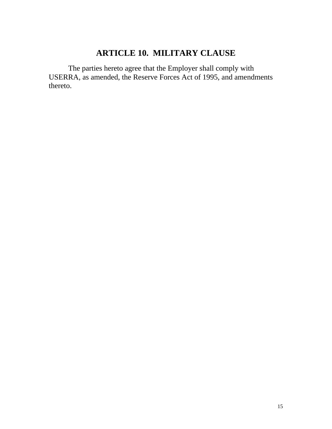# **ARTICLE 10. MILITARY CLAUSE**

 The parties hereto agree that the Employer shall comply with USERRA, as amended, the Reserve Forces Act of 1995, and amendments thereto.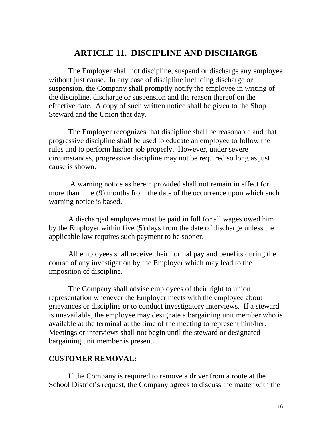#### **ARTICLE 11. DISCIPLINE AND DISCHARGE**

 The Employer shall not discipline, suspend or discharge any employee without just cause. In any case of discipline including discharge or suspension, the Company shall promptly notify the employee in writing of the discipline, discharge or suspension and the reason thereof on the effective date. A copy of such written notice shall be given to the Shop Steward and the Union that day.

 The Employer recognizes that discipline shall be reasonable and that progressive discipline shall be used to educate an employee to follow the rules and to perform his/her job properly. However, under severe circumstances, progressive discipline may not be required so long as just cause is shown.

 A warning notice as herein provided shall not remain in effect for more than nine (9) months from the date of the occurrence upon which such warning notice is based.

 A discharged employee must be paid in full for all wages owed him by the Employer within five (5) days from the date of discharge unless the applicable law requires such payment to be sooner.

 All employees shall receive their normal pay and benefits during the course of any investigation by the Employer which may lead to the imposition of discipline.

 The Company shall advise employees of their right to union representation whenever the Employer meets with the employee about grievances or discipline or to conduct investigatory interviews. If a steward is unavailable, the employee may designate a bargaining unit member who is available at the terminal at the time of the meeting to represent him/her. Meetings or interviews shall not begin until the steward or designated bargaining unit member is present*.* 

#### **CUSTOMER REMOVAL:**

 If the Company is required to remove a driver from a route at the School District's request, the Company agrees to discuss the matter with the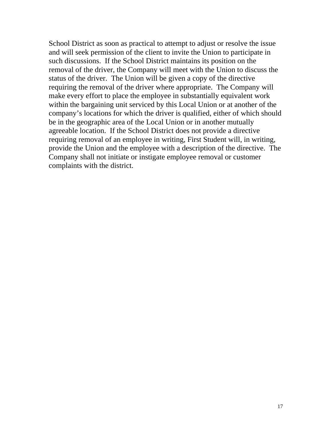School District as soon as practical to attempt to adjust or resolve the issue and will seek permission of the client to invite the Union to participate in such discussions. If the School District maintains its position on the removal of the driver, the Company will meet with the Union to discuss the status of the driver. The Union will be given a copy of the directive requiring the removal of the driver where appropriate. The Company will make every effort to place the employee in substantially equivalent work within the bargaining unit serviced by this Local Union or at another of the company's locations for which the driver is qualified, either of which should be in the geographic area of the Local Union or in another mutually agreeable location. If the School District does not provide a directive requiring removal of an employee in writing, First Student will, in writing, provide the Union and the employee with a description of the directive. The Company shall not initiate or instigate employee removal or customer complaints with the district.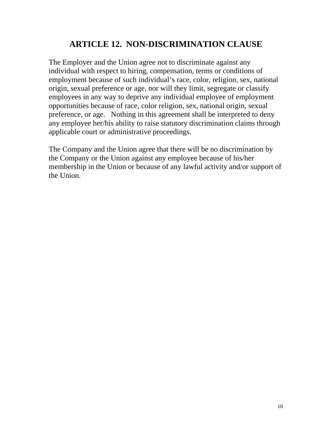# **ARTICLE 12. NON-DISCRIMINATION CLAUSE**

The Employer and the Union agree not to discriminate against any individual with respect to hiring, compensation, terms or conditions of employment because of such individual's race, color, religion, sex, national origin, sexual preference or age, nor will they limit, segregate or classify employees in any way to deprive any individual employee of employment opportunities because of race, color religion, sex, national origin, sexual preference, or age. Nothing in this agreement shall be interpreted to deny any employee her/his ability to raise statutory discrimination claims through applicable court or administrative proceedings.

The Company and the Union agree that there will be no discrimination by the Company or the Union against any employee because of his/her membership in the Union or because of any lawful activity and/or support of the Union.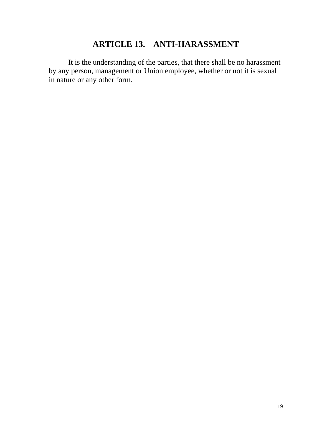# **ARTICLE 13. ANTI-HARASSMENT**

 It is the understanding of the parties, that there shall be no harassment by any person, management or Union employee, whether or not it is sexual in nature or any other form.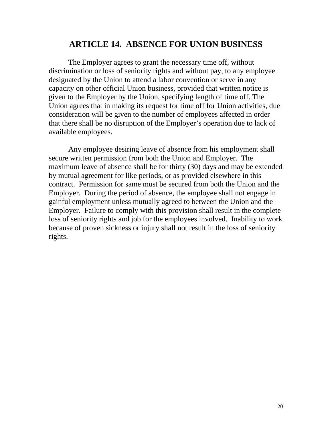#### **ARTICLE 14. ABSENCE FOR UNION BUSINESS**

 The Employer agrees to grant the necessary time off, without discrimination or loss of seniority rights and without pay, to any employee designated by the Union to attend a labor convention or serve in any capacity on other official Union business, provided that written notice is given to the Employer by the Union, specifying length of time off. The Union agrees that in making its request for time off for Union activities, due consideration will be given to the number of employees affected in order that there shall be no disruption of the Employer's operation due to lack of available employees.

 Any employee desiring leave of absence from his employment shall secure written permission from both the Union and Employer. The maximum leave of absence shall be for thirty (30) days and may be extended by mutual agreement for like periods, or as provided elsewhere in this contract. Permission for same must be secured from both the Union and the Employer. During the period of absence, the employee shall not engage in gainful employment unless mutually agreed to between the Union and the Employer. Failure to comply with this provision shall result in the complete loss of seniority rights and job for the employees involved. Inability to work because of proven sickness or injury shall not result in the loss of seniority rights.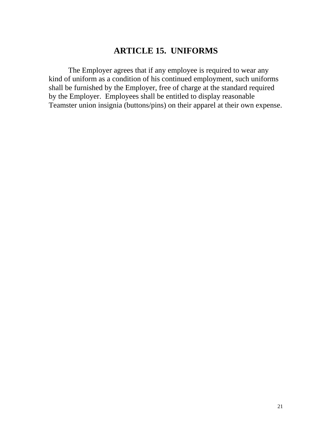# **ARTICLE 15. UNIFORMS**

 The Employer agrees that if any employee is required to wear any kind of uniform as a condition of his continued employment, such uniforms shall be furnished by the Employer, free of charge at the standard required by the Employer. Employees shall be entitled to display reasonable Teamster union insignia (buttons/pins) on their apparel at their own expense.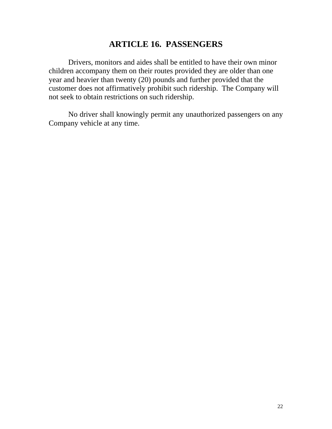### **ARTICLE 16. PASSENGERS**

 Drivers, monitors and aides shall be entitled to have their own minor children accompany them on their routes provided they are older than one year and heavier than twenty (20) pounds and further provided that the customer does not affirmatively prohibit such ridership. The Company will not seek to obtain restrictions on such ridership.

 No driver shall knowingly permit any unauthorized passengers on any Company vehicle at any time.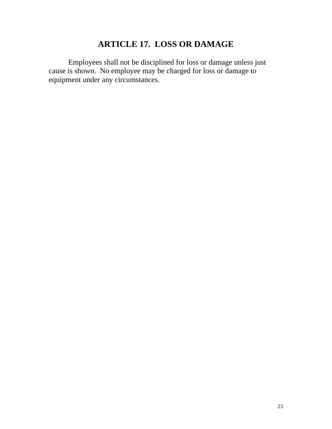# **ARTICLE 17. LOSS OR DAMAGE**

 Employees shall not be disciplined for loss or damage unless just cause is shown. No employee may be charged for loss or damage to equipment under any circumstances.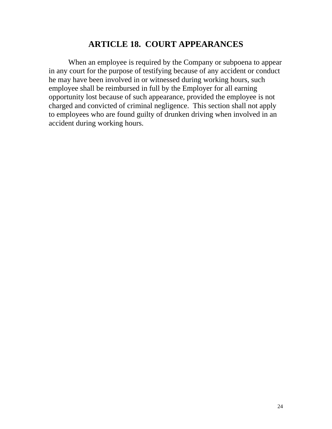### **ARTICLE 18. COURT APPEARANCES**

 When an employee is required by the Company or subpoena to appear in any court for the purpose of testifying because of any accident or conduct he may have been involved in or witnessed during working hours, such employee shall be reimbursed in full by the Employer for all earning opportunity lost because of such appearance, provided the employee is not charged and convicted of criminal negligence. This section shall not apply to employees who are found guilty of drunken driving when involved in an accident during working hours.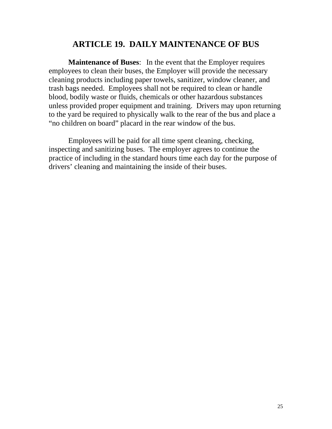#### **ARTICLE 19. DAILY MAINTENANCE OF BUS**

**Maintenance of Buses**: In the event that the Employer requires employees to clean their buses, the Employer will provide the necessary cleaning products including paper towels, sanitizer, window cleaner, and trash bags needed. Employees shall not be required to clean or handle blood, bodily waste or fluids, chemicals or other hazardous substances unless provided proper equipment and training. Drivers may upon returning to the yard be required to physically walk to the rear of the bus and place a "no children on board" placard in the rear window of the bus.

 Employees will be paid for all time spent cleaning, checking, inspecting and sanitizing buses. The employer agrees to continue the practice of including in the standard hours time each day for the purpose of drivers' cleaning and maintaining the inside of their buses.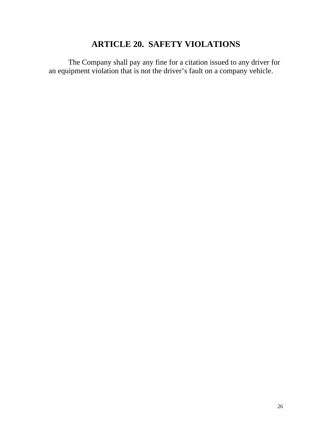# **ARTICLE 20. SAFETY VIOLATIONS**

 The Company shall pay any fine for a citation issued to any driver for an equipment violation that is not the driver's fault on a company vehicle.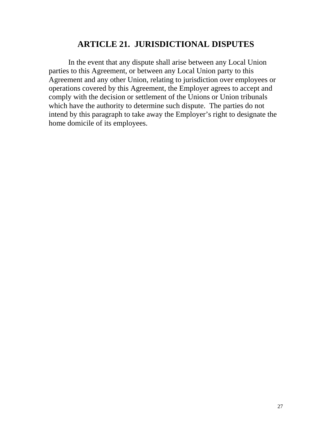### **ARTICLE 21. JURISDICTIONAL DISPUTES**

 In the event that any dispute shall arise between any Local Union parties to this Agreement, or between any Local Union party to this Agreement and any other Union, relating to jurisdiction over employees or operations covered by this Agreement, the Employer agrees to accept and comply with the decision or settlement of the Unions or Union tribunals which have the authority to determine such dispute. The parties do not intend by this paragraph to take away the Employer's right to designate the home domicile of its employees.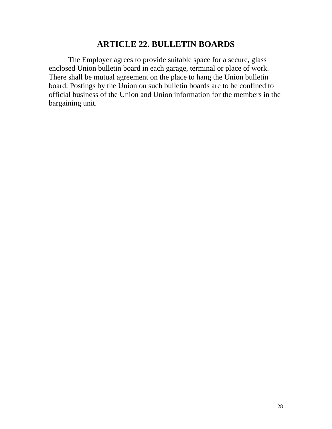### **ARTICLE 22. BULLETIN BOARDS**

 The Employer agrees to provide suitable space for a secure, glass enclosed Union bulletin board in each garage, terminal or place of work. There shall be mutual agreement on the place to hang the Union bulletin board. Postings by the Union on such bulletin boards are to be confined to official business of the Union and Union information for the members in the bargaining unit.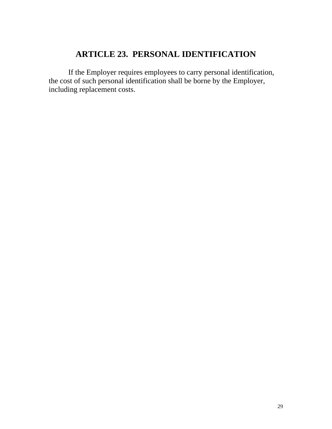# **ARTICLE 23. PERSONAL IDENTIFICATION**

 If the Employer requires employees to carry personal identification, the cost of such personal identification shall be borne by the Employer, including replacement costs.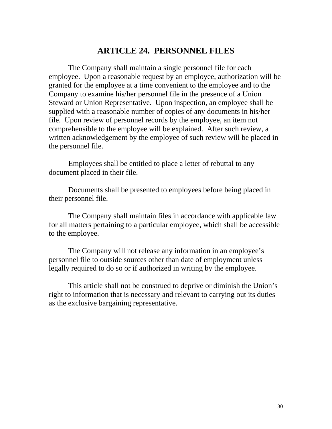#### **ARTICLE 24. PERSONNEL FILES**

 The Company shall maintain a single personnel file for each employee. Upon a reasonable request by an employee, authorization will be granted for the employee at a time convenient to the employee and to the Company to examine his/her personnel file in the presence of a Union Steward or Union Representative. Upon inspection, an employee shall be supplied with a reasonable number of copies of any documents in his/her file. Upon review of personnel records by the employee, an item not comprehensible to the employee will be explained. After such review, a written acknowledgement by the employee of such review will be placed in the personnel file.

 Employees shall be entitled to place a letter of rebuttal to any document placed in their file.

 Documents shall be presented to employees before being placed in their personnel file.

 The Company shall maintain files in accordance with applicable law for all matters pertaining to a particular employee, which shall be accessible to the employee.

 The Company will not release any information in an employee's personnel file to outside sources other than date of employment unless legally required to do so or if authorized in writing by the employee.

 This article shall not be construed to deprive or diminish the Union's right to information that is necessary and relevant to carrying out its duties as the exclusive bargaining representative.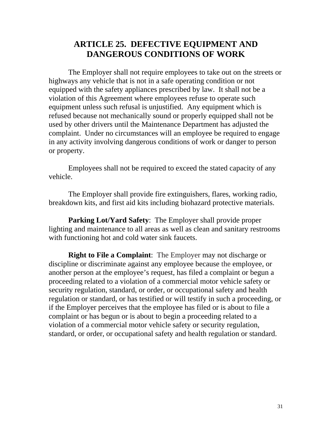### **ARTICLE 25. DEFECTIVE EQUIPMENT AND DANGEROUS CONDITIONS OF WORK**

 The Employer shall not require employees to take out on the streets or highways any vehicle that is not in a safe operating condition or not equipped with the safety appliances prescribed by law. It shall not be a violation of this Agreement where employees refuse to operate such equipment unless such refusal is unjustified. Any equipment which is refused because not mechanically sound or properly equipped shall not be used by other drivers until the Maintenance Department has adjusted the complaint. Under no circumstances will an employee be required to engage in any activity involving dangerous conditions of work or danger to person or property.

 Employees shall not be required to exceed the stated capacity of any vehicle.

 The Employer shall provide fire extinguishers, flares, working radio, breakdown kits, and first aid kits including biohazard protective materials.

**Parking Lot/Yard Safety**: The Employer shall provide proper lighting and maintenance to all areas as well as clean and sanitary restrooms with functioning hot and cold water sink faucets.

**Right to File a Complaint**: The Employer may not discharge or discipline or discriminate against any employee because the employee, or another person at the employee's request, has filed a complaint or begun a proceeding related to a violation of a commercial motor vehicle safety or security regulation, standard, or order, or occupational safety and health regulation or standard, or has testified or will testify in such a proceeding, or if the Employer perceives that the employee has filed or is about to file a complaint or has begun or is about to begin a proceeding related to a violation of a commercial motor vehicle safety or security regulation, standard, or order, or occupational safety and health regulation or standard.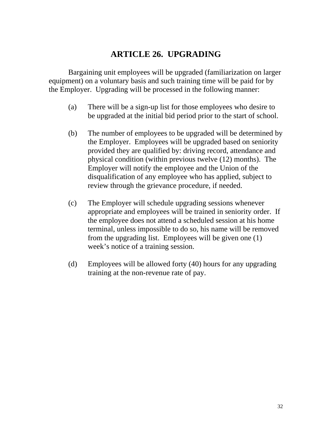## **ARTICLE 26. UPGRADING**

 Bargaining unit employees will be upgraded (familiarization on larger equipment) on a voluntary basis and such training time will be paid for by the Employer. Upgrading will be processed in the following manner:

- (a) There will be a sign-up list for those employees who desire to be upgraded at the initial bid period prior to the start of school.
- (b) The number of employees to be upgraded will be determined by the Employer. Employees will be upgraded based on seniority provided they are qualified by: driving record, attendance and physical condition (within previous twelve (12) months). The Employer will notify the employee and the Union of the disqualification of any employee who has applied, subject to review through the grievance procedure, if needed.
- (c) The Employer will schedule upgrading sessions whenever appropriate and employees will be trained in seniority order. If the employee does not attend a scheduled session at his home terminal, unless impossible to do so, his name will be removed from the upgrading list. Employees will be given one (1) week's notice of a training session.
- (d) Employees will be allowed forty (40) hours for any upgrading training at the non-revenue rate of pay.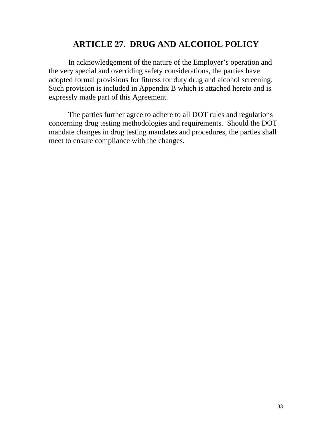## **ARTICLE 27. DRUG AND ALCOHOL POLICY**

 In acknowledgement of the nature of the Employer's operation and the very special and overriding safety considerations, the parties have adopted formal provisions for fitness for duty drug and alcohol screening. Such provision is included in Appendix B which is attached hereto and is expressly made part of this Agreement.

 The parties further agree to adhere to all DOT rules and regulations concerning drug testing methodologies and requirements. Should the DOT mandate changes in drug testing mandates and procedures, the parties shall meet to ensure compliance with the changes.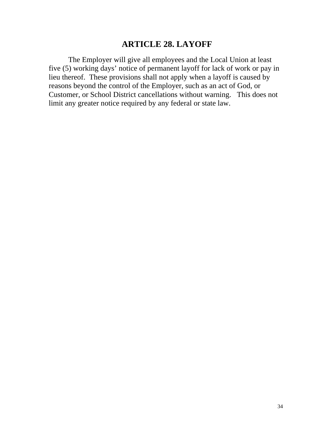### **ARTICLE 28. LAYOFF**

 The Employer will give all employees and the Local Union at least five (5) working days' notice of permanent layoff for lack of work or pay in lieu thereof. These provisions shall not apply when a layoff is caused by reasons beyond the control of the Employer, such as an act of God, or Customer, or School District cancellations without warning. This does not limit any greater notice required by any federal or state law.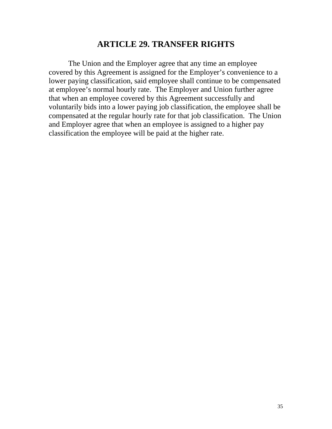### **ARTICLE 29. TRANSFER RIGHTS**

 The Union and the Employer agree that any time an employee covered by this Agreement is assigned for the Employer's convenience to a lower paying classification, said employee shall continue to be compensated at employee's normal hourly rate. The Employer and Union further agree that when an employee covered by this Agreement successfully and voluntarily bids into a lower paying job classification, the employee shall be compensated at the regular hourly rate for that job classification. The Union and Employer agree that when an employee is assigned to a higher pay classification the employee will be paid at the higher rate.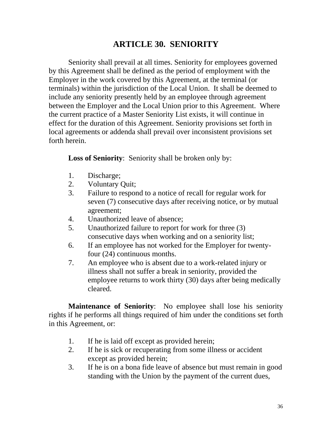## **ARTICLE 30. SENIORITY**

Seniority shall prevail at all times. Seniority for employees governed by this Agreement shall be defined as the period of employment with the Employer in the work covered by this Agreement, at the terminal (or terminals) within the jurisdiction of the Local Union. It shall be deemed to include any seniority presently held by an employee through agreement between the Employer and the Local Union prior to this Agreement. Where the current practice of a Master Seniority List exists, it will continue in effect for the duration of this Agreement. Seniority provisions set forth in local agreements or addenda shall prevail over inconsistent provisions set forth herein.

**Loss of Seniority**: Seniority shall be broken only by:

- 1. Discharge;
- 2. Voluntary Quit;
- 3. Failure to respond to a notice of recall for regular work for seven (7) consecutive days after receiving notice, or by mutual agreement;
- 4. Unauthorized leave of absence;
- 5. Unauthorized failure to report for work for three (3) consecutive days when working and on a seniority list;
- 6. If an employee has not worked for the Employer for twentyfour (24) continuous months.
- 7. An employee who is absent due to a work-related injury or illness shall not suffer a break in seniority, provided the employee returns to work thirty (30) days after being medically cleared.

**Maintenance of Seniority**: No employee shall lose his seniority rights if he performs all things required of him under the conditions set forth in this Agreement, or:

- 1. If he is laid off except as provided herein;
- 2. If he is sick or recuperating from some illness or accident except as provided herein;
- 3. If he is on a bona fide leave of absence but must remain in good standing with the Union by the payment of the current dues,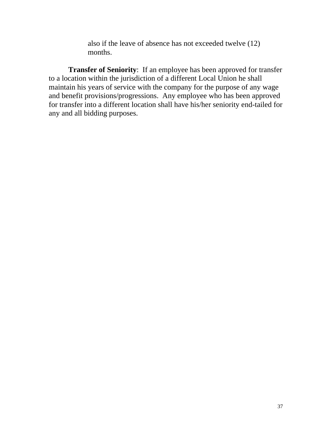also if the leave of absence has not exceeded twelve (12) months.

**Transfer of Seniority**: If an employee has been approved for transfer to a location within the jurisdiction of a different Local Union he shall maintain his years of service with the company for the purpose of any wage and benefit provisions/progressions. Any employee who has been approved for transfer into a different location shall have his/her seniority end-tailed for any and all bidding purposes.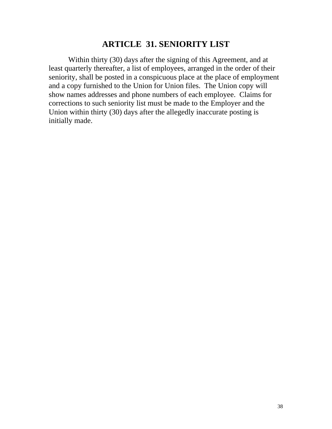#### **ARTICLE 31. SENIORITY LIST**

 Within thirty (30) days after the signing of this Agreement, and at least quarterly thereafter, a list of employees, arranged in the order of their seniority, shall be posted in a conspicuous place at the place of employment and a copy furnished to the Union for Union files. The Union copy will show names addresses and phone numbers of each employee. Claims for corrections to such seniority list must be made to the Employer and the Union within thirty (30) days after the allegedly inaccurate posting is initially made.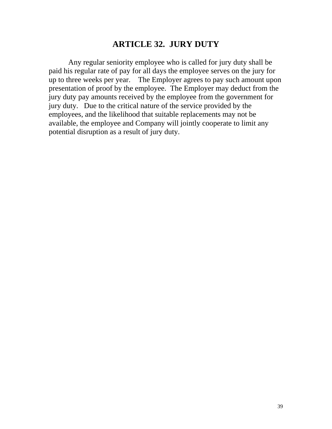### **ARTICLE 32. JURY DUTY**

 Any regular seniority employee who is called for jury duty shall be paid his regular rate of pay for all days the employee serves on the jury for up to three weeks per year. The Employer agrees to pay such amount upon presentation of proof by the employee. The Employer may deduct from the jury duty pay amounts received by the employee from the government for jury duty. Due to the critical nature of the service provided by the employees, and the likelihood that suitable replacements may not be available, the employee and Company will jointly cooperate to limit any potential disruption as a result of jury duty.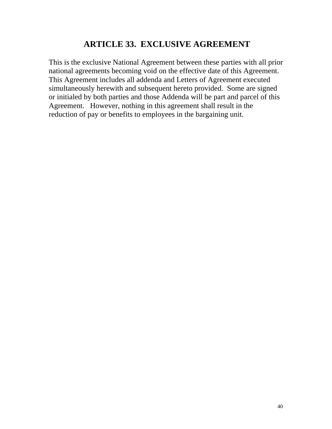# **ARTICLE 33. EXCLUSIVE AGREEMENT**

This is the exclusive National Agreement between these parties with all prior national agreements becoming void on the effective date of this Agreement. This Agreement includes all addenda and Letters of Agreement executed simultaneously herewith and subsequent hereto provided. Some are signed or initialed by both parties and those Addenda will be part and parcel of this Agreement. However, nothing in this agreement shall result in the reduction of pay or benefits to employees in the bargaining unit.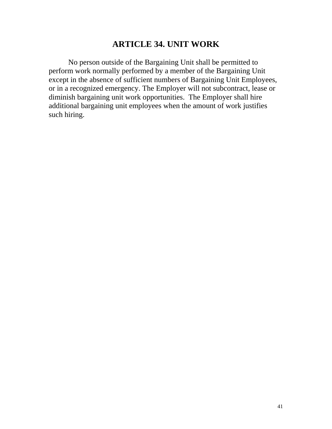### **ARTICLE 34. UNIT WORK**

 No person outside of the Bargaining Unit shall be permitted to perform work normally performed by a member of the Bargaining Unit except in the absence of sufficient numbers of Bargaining Unit Employees, or in a recognized emergency. The Employer will not subcontract, lease or diminish bargaining unit work opportunities. The Employer shall hire additional bargaining unit employees when the amount of work justifies such hiring.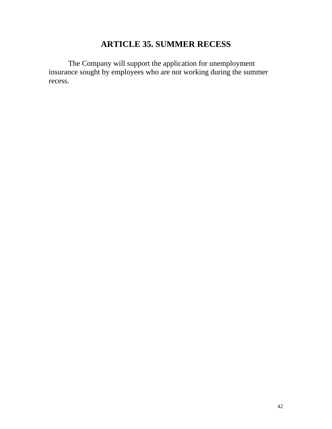# **ARTICLE 35. SUMMER RECESS**

 The Company will support the application for unemployment insurance sought by employees who are not working during the summer recess.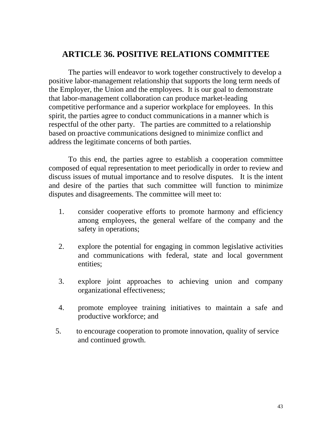### **ARTICLE 36. POSITIVE RELATIONS COMMITTEE**

 The parties will endeavor to work together constructively to develop a positive labor-management relationship that supports the long term needs of the Employer, the Union and the employees. It is our goal to demonstrate that labor-management collaboration can produce market-leading competitive performance and a superior workplace for employees. In this spirit, the parties agree to conduct communications in a manner which is respectful of the other party. The parties are committed to a relationship based on proactive communications designed to minimize conflict and address the legitimate concerns of both parties.

 To this end, the parties agree to establish a cooperation committee composed of equal representation to meet periodically in order to review and discuss issues of mutual importance and to resolve disputes. It is the intent and desire of the parties that such committee will function to minimize disputes and disagreements. The committee will meet to:

- 1. consider cooperative efforts to promote harmony and efficiency among employees, the general welfare of the company and the safety in operations;
- 2. explore the potential for engaging in common legislative activities and communications with federal, state and local government entities;
- 3. explore joint approaches to achieving union and company organizational effectiveness;
- 4. promote employee training initiatives to maintain a safe and productive workforce; and
- 5. to encourage cooperation to promote innovation, quality of service and continued growth.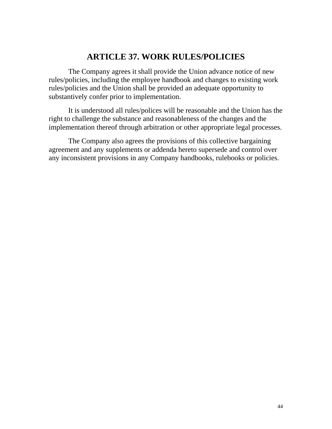## **ARTICLE 37. WORK RULES/POLICIES**

 The Company agrees it shall provide the Union advance notice of new rules/policies, including the employee handbook and changes to existing work rules/policies and the Union shall be provided an adequate opportunity to substantively confer prior to implementation.

 It is understood all rules/polices will be reasonable and the Union has the right to challenge the substance and reasonableness of the changes and the implementation thereof through arbitration or other appropriate legal processes.

 The Company also agrees the provisions of this collective bargaining agreement and any supplements or addenda hereto supersede and control over any inconsistent provisions in any Company handbooks, rulebooks or policies.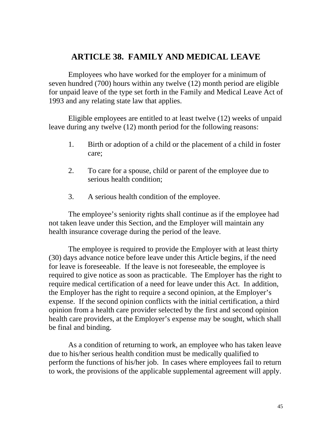#### **ARTICLE 38. FAMILY AND MEDICAL LEAVE**

 Employees who have worked for the employer for a minimum of seven hundred (700) hours within any twelve (12) month period are eligible for unpaid leave of the type set forth in the Family and Medical Leave Act of 1993 and any relating state law that applies.

 Eligible employees are entitled to at least twelve (12) weeks of unpaid leave during any twelve (12) month period for the following reasons:

- 1. Birth or adoption of a child or the placement of a child in foster care;
- 2. To care for a spouse, child or parent of the employee due to serious health condition;
- 3. A serious health condition of the employee.

 The employee's seniority rights shall continue as if the employee had not taken leave under this Section, and the Employer will maintain any health insurance coverage during the period of the leave.

 The employee is required to provide the Employer with at least thirty (30) days advance notice before leave under this Article begins, if the need for leave is foreseeable. If the leave is not foreseeable, the employee is required to give notice as soon as practicable. The Employer has the right to require medical certification of a need for leave under this Act. In addition, the Employer has the right to require a second opinion, at the Employer's expense. If the second opinion conflicts with the initial certification, a third opinion from a health care provider selected by the first and second opinion health care providers, at the Employer's expense may be sought, which shall be final and binding.

 As a condition of returning to work, an employee who has taken leave due to his/her serious health condition must be medically qualified to perform the functions of his/her job. In cases where employees fail to return to work, the provisions of the applicable supplemental agreement will apply.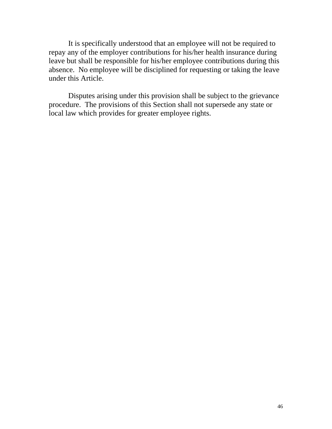It is specifically understood that an employee will not be required to repay any of the employer contributions for his/her health insurance during leave but shall be responsible for his/her employee contributions during this absence. No employee will be disciplined for requesting or taking the leave under this Article.

 Disputes arising under this provision shall be subject to the grievance procedure. The provisions of this Section shall not supersede any state or local law which provides for greater employee rights.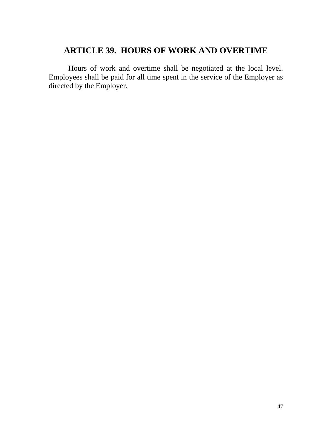## **ARTICLE 39. HOURS OF WORK AND OVERTIME**

 Hours of work and overtime shall be negotiated at the local level. Employees shall be paid for all time spent in the service of the Employer as directed by the Employer.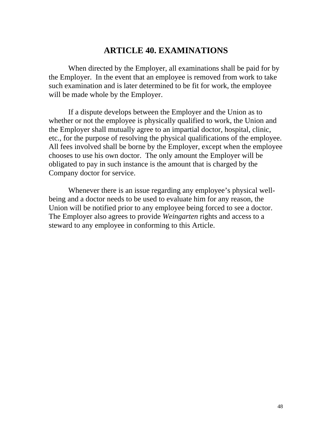### **ARTICLE 40. EXAMINATIONS**

 When directed by the Employer, all examinations shall be paid for by the Employer. In the event that an employee is removed from work to take such examination and is later determined to be fit for work, the employee will be made whole by the Employer.

 If a dispute develops between the Employer and the Union as to whether or not the employee is physically qualified to work, the Union and the Employer shall mutually agree to an impartial doctor, hospital, clinic, etc., for the purpose of resolving the physical qualifications of the employee. All fees involved shall be borne by the Employer, except when the employee chooses to use his own doctor. The only amount the Employer will be obligated to pay in such instance is the amount that is charged by the Company doctor for service.

 Whenever there is an issue regarding any employee's physical wellbeing and a doctor needs to be used to evaluate him for any reason, the Union will be notified prior to any employee being forced to see a doctor. The Employer also agrees to provide *Weingarten* rights and access to a steward to any employee in conforming to this Article.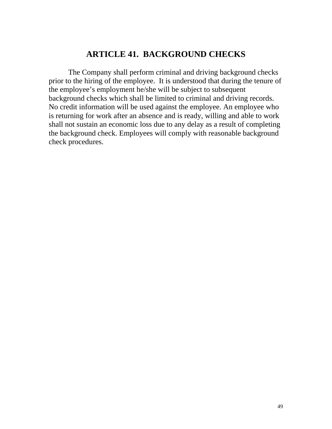#### **ARTICLE 41. BACKGROUND CHECKS**

 The Company shall perform criminal and driving background checks prior to the hiring of the employee. It is understood that during the tenure of the employee's employment he/she will be subject to subsequent background checks which shall be limited to criminal and driving records. No credit information will be used against the employee. An employee who is returning for work after an absence and is ready, willing and able to work shall not sustain an economic loss due to any delay as a result of completing the background check. Employees will comply with reasonable background check procedures.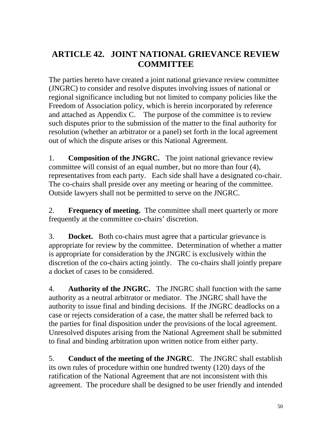# **ARTICLE 42. JOINT NATIONAL GRIEVANCE REVIEW COMMITTEE**

The parties hereto have created a joint national grievance review committee (JNGRC) to consider and resolve disputes involving issues of national or regional significance including but not limited to company policies like the Freedom of Association policy, which is herein incorporated by reference and attached as Appendix C. The purpose of the committee is to review such disputes prior to the submission of the matter to the final authority for resolution (whether an arbitrator or a panel) set forth in the local agreement out of which the dispute arises or this National Agreement.

1. **Composition of the JNGRC.** The joint national grievance review committee will consist of an equal number, but no more than four (4), representatives from each party. Each side shall have a designated co-chair. The co-chairs shall preside over any meeting or hearing of the committee. Outside lawyers shall not be permitted to serve on the JNGRC.

2. **Frequency of meeting.** The committee shall meet quarterly or more frequently at the committee co-chairs' discretion.

3. **Docket.** Both co-chairs must agree that a particular grievance is appropriate for review by the committee. Determination of whether a matter is appropriate for consideration by the JNGRC is exclusively within the discretion of the co-chairs acting jointly. The co-chairs shall jointly prepare a docket of cases to be considered.

4. **Authority of the JNGRC.** The JNGRC shall function with the same authority as a neutral arbitrator or mediator. The JNGRC shall have the authority to issue final and binding decisions. If the JNGRC deadlocks on a case or rejects consideration of a case, the matter shall be referred back to the parties for final disposition under the provisions of the local agreement. Unresolved disputes arising from the National Agreement shall be submitted to final and binding arbitration upon written notice from either party.

5. **Conduct of the meeting of the JNGRC**. The JNGRC shall establish its own rules of procedure within one hundred twenty (120) days of the ratification of the National Agreement that are not inconsistent with this agreement. The procedure shall be designed to be user friendly and intended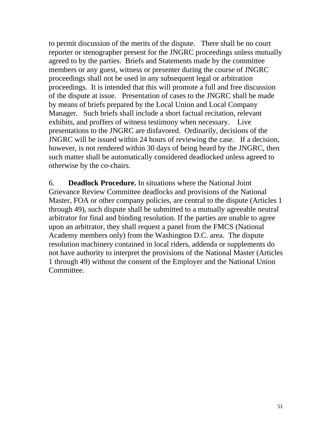to permit discussion of the merits of the dispute. There shall be no court reporter or stenographer present for the JNGRC proceedings unless mutually agreed to by the parties. Briefs and Statements made by the committee members or any guest, witness or presenter during the course of JNGRC proceedings shall not be used in any subsequent legal or arbitration proceedings. It is intended that this will promote a full and free discussion of the dispute at issue. Presentation of cases to the JNGRC shall be made by means of briefs prepared by the Local Union and Local Company Manager. Such briefs shall include a short factual recitation, relevant exhibits, and proffers of witness testimony when necessary. Live presentations to the JNGRC are disfavored. Ordinarily, decisions of the JNGRC will be issued within 24 hours of reviewing the case. If a decision, however, is not rendered within 30 days of being heard by the JNGRC, then such matter shall be automatically considered deadlocked unless agreed to otherwise by the co-chairs.

6. **Deadlock Procedure.** In situations where the National Joint Grievance Review Committee deadlocks and provisions of the National Master, FOA or other company policies, are central to the dispute (Articles 1) through 49), such dispute shall be submitted to a mutually agreeable neutral arbitrator for final and binding resolution. If the parties are unable to agree upon an arbitrator, they shall request a panel from the FMCS (National Academy members only) from the Washington D.C. area. The dispute resolution machinery contained in local riders, addenda or supplements do not have authority to interpret the provisions of the National Master (Articles 1 through 49) without the consent of the Employer and the National Union Committee.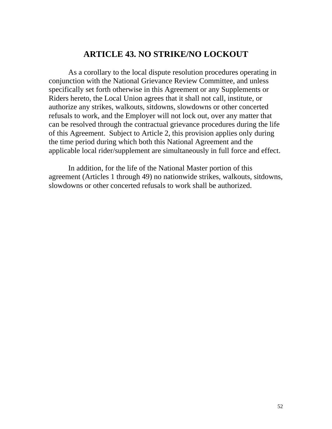#### **ARTICLE 43. NO STRIKE/NO LOCKOUT**

 As a corollary to the local dispute resolution procedures operating in conjunction with the National Grievance Review Committee, and unless specifically set forth otherwise in this Agreement or any Supplements or Riders hereto, the Local Union agrees that it shall not call, institute, or authorize any strikes, walkouts, sitdowns, slowdowns or other concerted refusals to work, and the Employer will not lock out, over any matter that can be resolved through the contractual grievance procedures during the life of this Agreement. Subject to Article 2, this provision applies only during the time period during which both this National Agreement and the applicable local rider/supplement are simultaneously in full force and effect.

 In addition, for the life of the National Master portion of this agreement (Articles 1 through 49) no nationwide strikes, walkouts, sitdowns, slowdowns or other concerted refusals to work shall be authorized.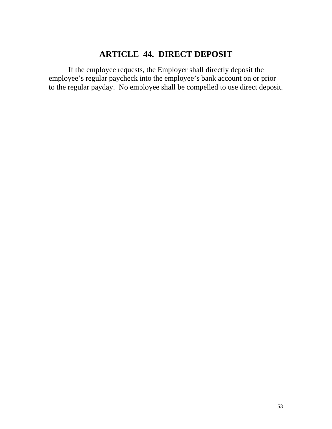# **ARTICLE 44. DIRECT DEPOSIT**

If the employee requests, the Employer shall directly deposit the employee's regular paycheck into the employee's bank account on or prior to the regular payday. No employee shall be compelled to use direct deposit.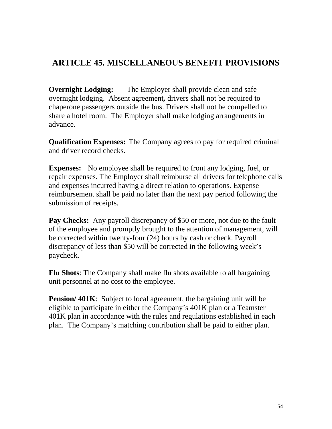# **ARTICLE 45. MISCELLANEOUS BENEFIT PROVISIONS**

**Overnight Lodging:** The Employer shall provide clean and safe overnight lodging. Absent agreement*,* drivers shall not be required to chaperone passengers outside the bus. Drivers shall not be compelled to share a hotel room. The Employer shall make lodging arrangements in advance.

**Qualification Expenses:** The Company agrees to pay for required criminal and driver record checks.

**Expenses:** No employee shall be required to front any lodging, fuel, or repair expenses**.** The Employer shall reimburse all drivers for telephone calls and expenses incurred having a direct relation to operations. Expense reimbursement shall be paid no later than the next pay period following the submission of receipts.

**Pay Checks:** Any payroll discrepancy of \$50 or more, not due to the fault of the employee and promptly brought to the attention of management, will be corrected within twenty-four (24) hours by cash or check. Payroll discrepancy of less than \$50 will be corrected in the following week's paycheck.

**Flu Shots**: The Company shall make flu shots available to all bargaining unit personnel at no cost to the employee.

**Pension/401K:** Subject to local agreement, the bargaining unit will be eligible to participate in either the Company's 401K plan or a Teamster 401K plan in accordance with the rules and regulations established in each plan. The Company's matching contribution shall be paid to either plan.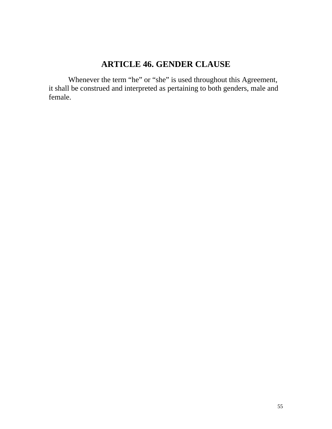# **ARTICLE 46. GENDER CLAUSE**

Whenever the term "he" or "she" is used throughout this Agreement, it shall be construed and interpreted as pertaining to both genders, male and female.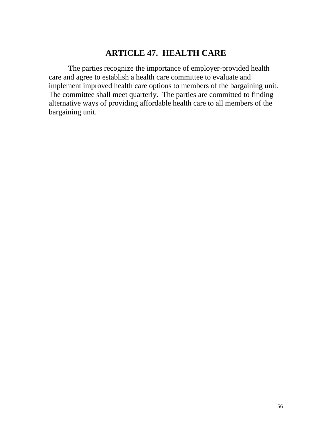## **ARTICLE 47. HEALTH CARE**

 The parties recognize the importance of employer-provided health care and agree to establish a health care committee to evaluate and implement improved health care options to members of the bargaining unit. The committee shall meet quarterly. The parties are committed to finding alternative ways of providing affordable health care to all members of the bargaining unit.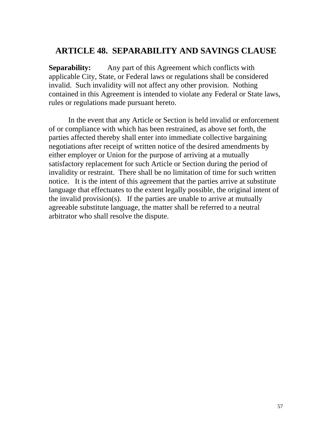### **ARTICLE 48. SEPARABILITY AND SAVINGS CLAUSE**

**Separability:** Any part of this Agreement which conflicts with applicable City, State, or Federal laws or regulations shall be considered invalid. Such invalidity will not affect any other provision. Nothing contained in this Agreement is intended to violate any Federal or State laws, rules or regulations made pursuant hereto.

 In the event that any Article or Section is held invalid or enforcement of or compliance with which has been restrained, as above set forth, the parties affected thereby shall enter into immediate collective bargaining negotiations after receipt of written notice of the desired amendments by either employer or Union for the purpose of arriving at a mutually satisfactory replacement for such Article or Section during the period of invalidity or restraint. There shall be no limitation of time for such written notice. It is the intent of this agreement that the parties arrive at substitute language that effectuates to the extent legally possible, the original intent of the invalid provision(s). If the parties are unable to arrive at mutually agreeable substitute language, the matter shall be referred to a neutral arbitrator who shall resolve the dispute.